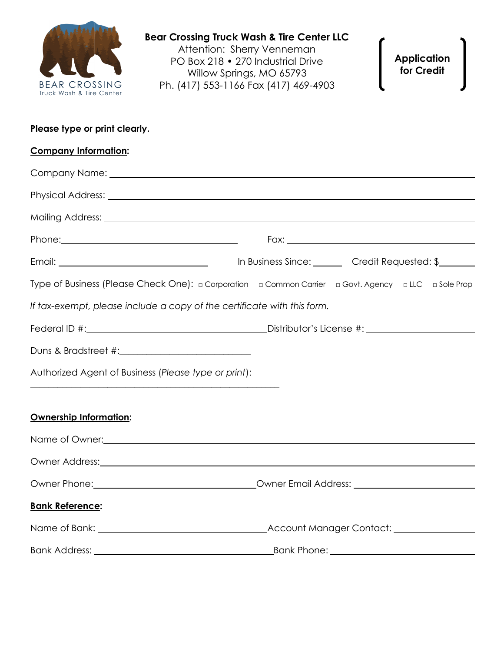

**Application for Credit**

| Please type or print clearly. |  |  |
|-------------------------------|--|--|
|-------------------------------|--|--|

| <b>Company Information:</b>                                             |                                                                                                      |
|-------------------------------------------------------------------------|------------------------------------------------------------------------------------------------------|
|                                                                         |                                                                                                      |
|                                                                         |                                                                                                      |
|                                                                         |                                                                                                      |
|                                                                         |                                                                                                      |
|                                                                         |                                                                                                      |
|                                                                         | Type of Business (Please Check One): a Corporation a Common Carrier a Govt. Agency a LLC a Sole Prop |
| If tax-exempt, please include a copy of the certificate with this form. |                                                                                                      |
|                                                                         |                                                                                                      |
|                                                                         |                                                                                                      |
| Authorized Agent of Business (Please type or print):                    |                                                                                                      |
|                                                                         |                                                                                                      |
| <b>Ownership Information:</b>                                           |                                                                                                      |
|                                                                         |                                                                                                      |
|                                                                         |                                                                                                      |
|                                                                         |                                                                                                      |
| <b>Bank Reference:</b>                                                  |                                                                                                      |
|                                                                         |                                                                                                      |
|                                                                         |                                                                                                      |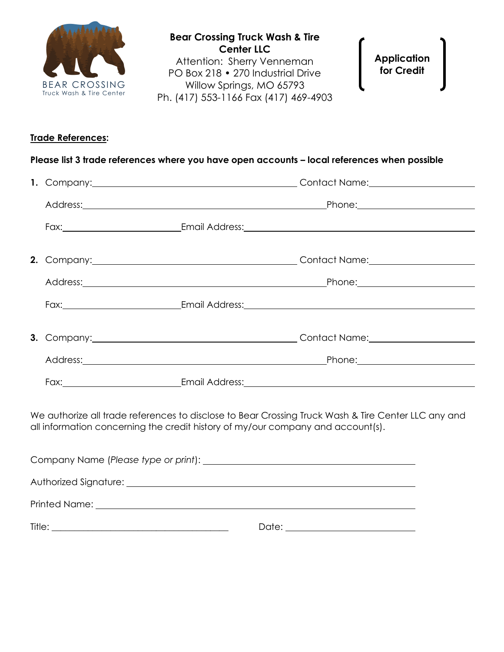

**Bear Crossing Truck Wash & Tire Center LLC** Attention: Sherry Venneman PO Box 218 • 270 Industrial Drive Willow Springs, MO 65793 Ph. (417) 553-1166 Fax (417) 469-4903

**Application for Credit**

## **Trade References:**

|  |                                                                                 | Address: Phone: Phone: Phone: Phone: Phone: Phone: Phone: Phone: Phone: Phone: Phone: Phone: Phone: Phone: Phone: Phone: Phone: Phone: Phone: Phone: Phone: Phone: Phone: Phone: Phone: Phone: Phone: Phone: Phone: Phone: Pho |
|--|---------------------------------------------------------------------------------|--------------------------------------------------------------------------------------------------------------------------------------------------------------------------------------------------------------------------------|
|  |                                                                                 |                                                                                                                                                                                                                                |
|  | all information concerning the credit history of my/our company and account(s). | We authorize all trade references to disclose to Bear Crossing Truck Wash & Tire Center LLC any and                                                                                                                            |

| Authorized Signature: <u>Authorized Signature:</u> Authorized Signature:                                                                                                                                                       |       |
|--------------------------------------------------------------------------------------------------------------------------------------------------------------------------------------------------------------------------------|-------|
| Printed Name: The Communication of the Communication of the Communication of the Communication of the Communication of the Communication of the Communication of the Communication of the Communication of the Communication o |       |
| Title:                                                                                                                                                                                                                         | Date: |